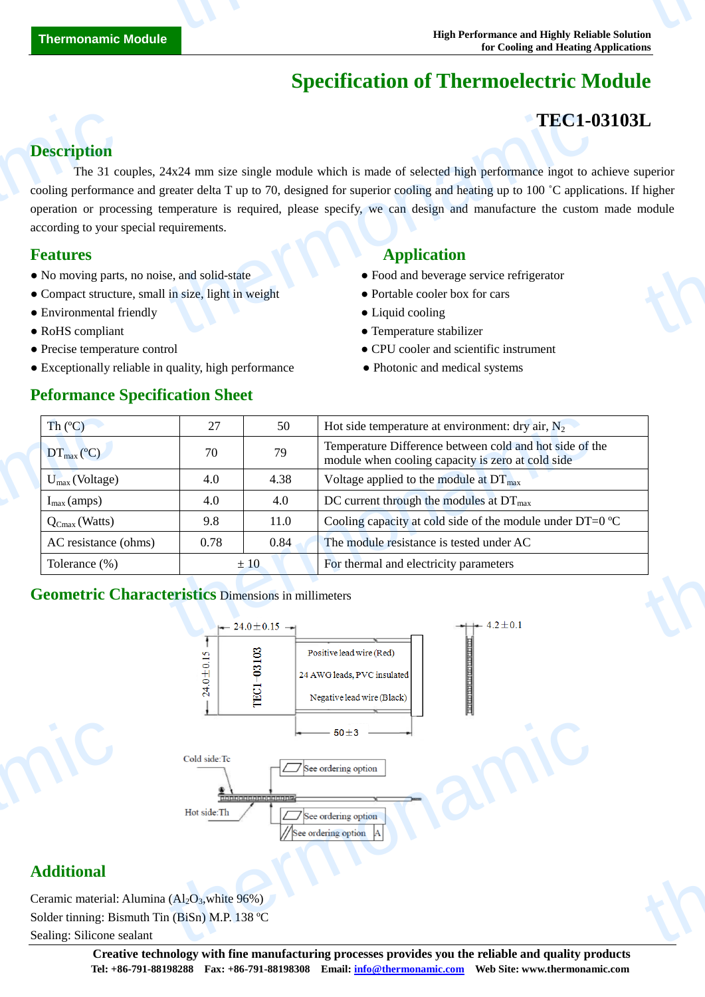# **Specification of Thermoelectric Module**

## **TEC1-03103L**

thermonamic

#### **Description**

The 31 couples, 24x24 mm size single module which is made of selected high performance ingot to achieve superior cooling performance and greater delta T up to 70, designed for superior cooling and heating up to 100 ˚C applications. If higher operation or processing temperature is required, please specify, we can design and manufacture the custom made module according to your special requirements. **Description**<br>The 31 cc<br>cooling performan<br>operation or proce<br>according to your :<br>**Features**<br>• No moving parts<br>• Compact structu<br>• Environmental f **TEC1-0**<br>  $4x24$  mm size single module which is made of selected high performance ingot to a<br>
reater delta T up to 70, designed for superior cooling and heating up to 100 °C applica<br>
emperature is required, please specify L<br>uperior<br>module

- No moving parts, no noise, and solid-state **•** Food and beverage service refrigerator
- Compact structure, small in size, light in weight Portable cooler box for cars
- Environmental friendly Liquid cooling Liquid cooling
- 
- 
- Exceptionally reliable in quality, high performance Photonic and medical systems

#### **Peformance Specification Sheet**

#### **Features Application**

- 
- 
- 
- RoHS compliant **Temperature stabilizer**
- Precise temperature control CPU cooler and scientific instrument
	-

| $\text{Th}(\mathbb{C})$       | 27   | 50   | Hot side temperature at environment: dry air, $N_2$                                                          |
|-------------------------------|------|------|--------------------------------------------------------------------------------------------------------------|
| $DT_{\text{max}}(\mathbb{C})$ | 70   | 79   | Temperature Difference between cold and hot side of the<br>module when cooling capacity is zero at cold side |
| $U_{max}$ (Voltage)           | 4.0  | 4.38 | Voltage applied to the module at $DT_{\text{max}}$                                                           |
| $I_{\text{max}}$ (amps)       | 4.0  | 4.0  | DC current through the modules at $DT_{\text{max}}$                                                          |
| $Q_{Cmax}$ (Watts)            | 9.8  | 11.0 | Cooling capacity at cold side of the module under DT=0 $\mathbb{C}$                                          |
| AC resistance (ohms)          | 0.78 | 0.84 | The module resistance is tested under AC                                                                     |
| Tolerance (%)                 |      | ±10  | For thermal and electricity parameters                                                                       |

#### **Geometric Characteristics** Dimensions in millimeters



#### **Additional**

Ceramic material: Alumina  $(Al<sub>2</sub>O<sub>3</sub>)$ , white 96%) Solder tinning: Bismuth Tin (BiSn) M.P. 138 °C Sealing: Silicone sealant Additional<br>Ceramic material:<br>Solder tinning: Bis<br>Sealing: Silicone s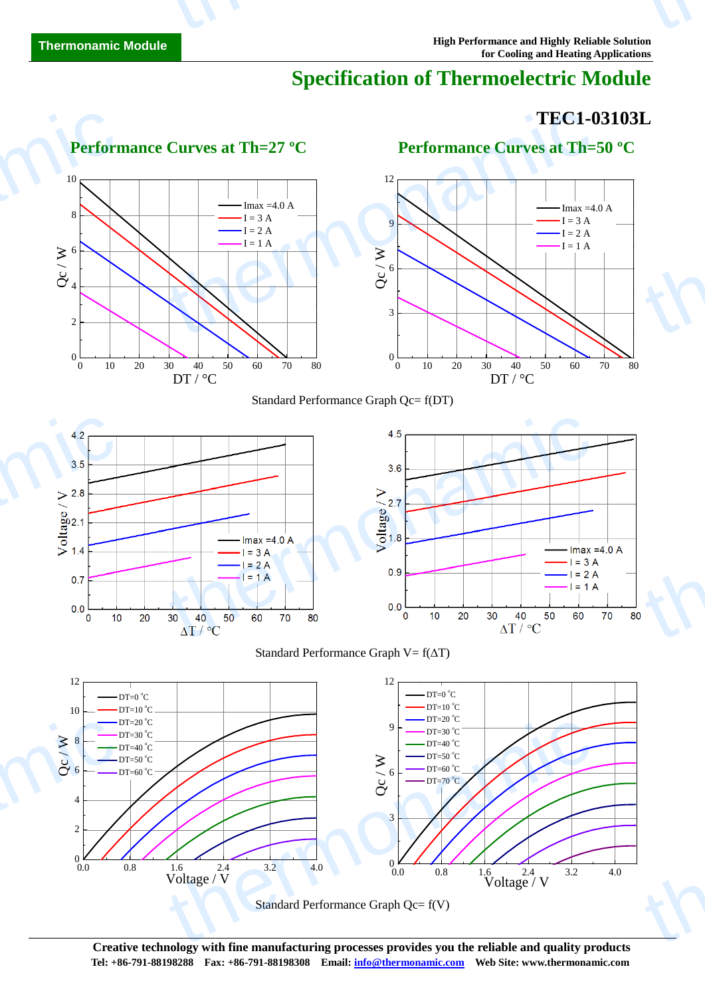# **Specification of Thermoelectric Module**

# **TEC1-03103L** thermonamic

thermonamic

thermonamic





**Creative technology with fine manufacturing processes provides you the reliable and quality products Tel: +86-791-88198288 Fax: +86-791-88198308 Email: info@thermonamic.com Web Site: www.thermonamic.com**